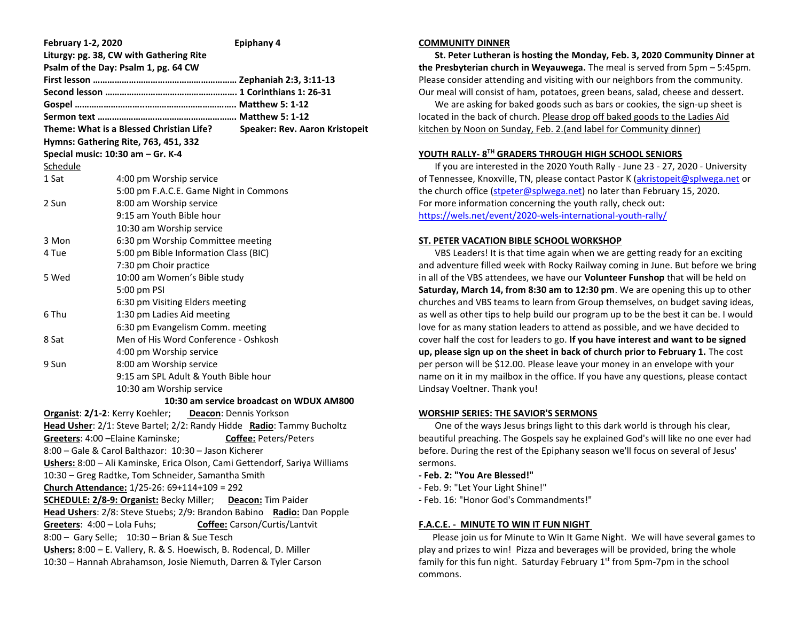| <b>February 1-2, 2020</b>                                                                                                                   | <b>Epiphany 4</b>                      |  |  |  |
|---------------------------------------------------------------------------------------------------------------------------------------------|----------------------------------------|--|--|--|
| Liturgy: pg. 38, CW with Gathering Rite                                                                                                     |                                        |  |  |  |
| Psalm of the Day: Psalm 1, pg. 64 CW                                                                                                        |                                        |  |  |  |
|                                                                                                                                             |                                        |  |  |  |
|                                                                                                                                             |                                        |  |  |  |
|                                                                                                                                             |                                        |  |  |  |
|                                                                                                                                             |                                        |  |  |  |
| Theme: What is a Blessed Christian Life?<br><b>Speaker: Rev. Aaron Kristopeit</b><br>Hymns: Gathering Rite, 763, 451, 332                   |                                        |  |  |  |
| Special music: 10:30 am - Gr. K-4                                                                                                           |                                        |  |  |  |
| Schedule                                                                                                                                    |                                        |  |  |  |
| 1 Sat                                                                                                                                       | 4:00 pm Worship service                |  |  |  |
|                                                                                                                                             | 5:00 pm F.A.C.E. Game Night in Commons |  |  |  |
| 2 Sun                                                                                                                                       | 8:00 am Worship service                |  |  |  |
|                                                                                                                                             | 9:15 am Youth Bible hour               |  |  |  |
|                                                                                                                                             | 10:30 am Worship service               |  |  |  |
| 3 Mon                                                                                                                                       | 6:30 pm Worship Committee meeting      |  |  |  |
| 4 Tue                                                                                                                                       | 5:00 pm Bible Information Class (BIC)  |  |  |  |
|                                                                                                                                             | 7:30 pm Choir practice                 |  |  |  |
| 5 Wed                                                                                                                                       | 10:00 am Women's Bible study           |  |  |  |
|                                                                                                                                             | 5:00 pm PSI                            |  |  |  |
|                                                                                                                                             | 6:30 pm Visiting Elders meeting        |  |  |  |
| 6 Thu                                                                                                                                       | 1:30 pm Ladies Aid meeting             |  |  |  |
|                                                                                                                                             | 6:30 pm Evangelism Comm. meeting       |  |  |  |
| 8 Sat                                                                                                                                       | Men of His Word Conference - Oshkosh   |  |  |  |
|                                                                                                                                             | 4:00 pm Worship service                |  |  |  |
| 9 Sun                                                                                                                                       | 8:00 am Worship service                |  |  |  |
|                                                                                                                                             | 9:15 am SPL Adult & Youth Bible hour   |  |  |  |
|                                                                                                                                             | 10:30 am Worship service               |  |  |  |
| 10:30 am service broadcast on WDUX AM800                                                                                                    |                                        |  |  |  |
| <b>Organist: 2/1-2: Kerry Koehler; Deacon: Dennis Yorkson</b>                                                                               |                                        |  |  |  |
| Head Usher: 2/1: Steve Bartel; 2/2: Randy Hidde Radio: Tammy Bucholtz                                                                       |                                        |  |  |  |
| Greeters: 4:00 - Elaine Kaminske;<br><b>Coffee: Peters/Peters</b>                                                                           |                                        |  |  |  |
| 8:00 - Gale & Carol Balthazor: 10:30 - Jason Kicherer                                                                                       |                                        |  |  |  |
| Ushers: 8:00 - Ali Kaminske, Erica Olson, Cami Gettendorf, Sariya Williams                                                                  |                                        |  |  |  |
| 10:30 - Greg Radtke, Tom Schneider, Samantha Smith                                                                                          |                                        |  |  |  |
| Church Attendance: 1/25-26: 69+114+109 = 292                                                                                                |                                        |  |  |  |
| <b>SCHEDULE: 2/8-9: Organist: Becky Miller;</b> Deacon: Tim Paider<br>Head Ushers: 2/8: Steve Stuebs; 2/9: Brandon Babino Radio: Dan Popple |                                        |  |  |  |
| Greeters: 4:00 - Lola Fuhs;<br>Coffee: Carson/Curtis/Lantvit                                                                                |                                        |  |  |  |
| 8:00 - Gary Selle; 10:30 - Brian & Sue Tesch                                                                                                |                                        |  |  |  |
| Ushers: 8:00 - E. Vallery, R. & S. Hoewisch, B. Rodencal, D. Miller                                                                         |                                        |  |  |  |
| 10:30 - Hannah Abrahamson, Josie Niemuth, Darren & Tyler Carson                                                                             |                                        |  |  |  |
|                                                                                                                                             |                                        |  |  |  |

### **COMMUNITY DINNER**

 **St. Peter Lutheran is hosting the Monday, Feb. 3, 2020 Community Dinner at the Presbyterian church in Weyauwega.** The meal is served from 5pm – 5:45pm. Please consider attending and visiting with our neighbors from the community. Our meal will consist of ham, potatoes, green beans, salad, cheese and dessert.

 We are asking for baked goods such as bars or cookies, the sign-up sheet is located in the back of church. Please drop off baked goods to the Ladies Aid kitchen by Noon on Sunday, Feb. 2.(and label for Community dinner)

# **YOUTH RALLY- 8 TH GRADERS THROUGH HIGH SCHOOL SENIORS**

 If you are interested in the 2020 Youth Rally - June 23 - 27, 2020 - University of Tennessee, Knoxville, TN, please contact Pastor K [\(akristopeit@splwega.net](mailto:akristopeit@splwega.net) or the church office [\(stpeter@splwega.net\)](mailto:stpeter@splwega.net) no later than February 15, 2020. For more information concerning the youth rally, check out: [https://wels.net/event/2020-wels-international-youth-rally/](https://linkprotect.cudasvc.com/url?a=https%3a%2f%2fwels.net%2fevent%2f2020-wels-international-youth-rally%2f&c=E,1,lNRUNoWdLc8CEU1jUlRIG_FoezLoXzVGad5eWmo1lybuzP_6cs-H3i5BmvNlmdZBfHcL-4wdrIs24BU9wM1hI-2YqAKHaNpkvLIa0u3j&typo=1)

## **ST. PETER VACATION BIBLE SCHOOL WORKSHOP**

 VBS Leaders! It is that time again when we are getting ready for an exciting and adventure filled week with Rocky Railway coming in June. But before we bring in all of the VBS attendees, we have our **Volunteer Funshop** that will be held on **Saturday, March 14, from 8:30 am to 12:30 pm**. We are opening this up to other churches and VBS teams to learn from Group themselves, on budget saving ideas, as well as other tips to help build our program up to be the best it can be. I would love for as many station leaders to attend as possible, and we have decided to cover half the cost for leaders to go. **If you have interest and want to be signed up, please sign up on the sheet in back of church prior to February 1.** The cost per person will be \$12.00. Please leave your money in an envelope with your name on it in my mailbox in the office. If you have any questions, please contact Lindsay Voeltner. Thank you!

# **WORSHIP SERIES: THE SAVIOR'S SERMONS**

 One of the ways Jesus brings light to this dark world is through his clear, beautiful preaching. The Gospels say he explained God's will like no one ever had before. During the rest of the Epiphany season we'll focus on several of Jesus' sermons.

- **- Feb. 2: "You Are Blessed!"**
- Feb. 9: "Let Your Light Shine!"
- Feb. 16: "Honor God's Commandments!"

# **F.A.C.E. - MINUTE TO WIN IT FUN NIGHT**

 Please join us for Minute to Win It Game Night. We will have several games to play and prizes to win! Pizza and beverages will be provided, bring the whole family for this fun night. Saturday February  $1<sup>st</sup>$  from 5pm-7pm in the school commons.